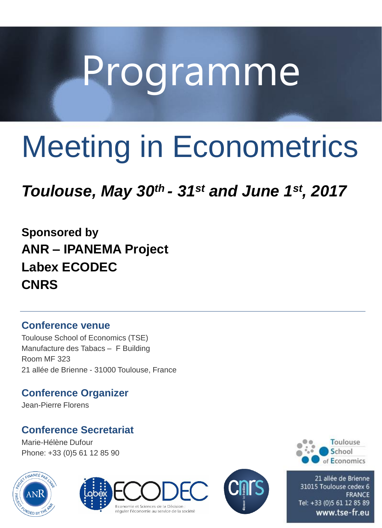# Programme

## Meeting in Econometrics

### *Toulouse, May 30th - 31st and June 1st, 2017*

**Sponsored by ANR – IPANEMA Project Labex ECODEC CNRS**

#### **Conference venue**

Toulouse School of Economics (TSE) Manufacture des Tabacs – F Building Room MF 323 21 allée de Brienne - 31000 Toulouse, France

#### **Conference Organizer**

Jean-Pierre Florens

#### **Conference Secretariat**

Marie-Hélène Dufour Phone: +33 (0)5 61 12 85 90











21 allée de Brienne 31015 Toulouse cedex 6 **FRANCE** Tel: +33 (0)5 61 12 85 89 www.tse-fr.eu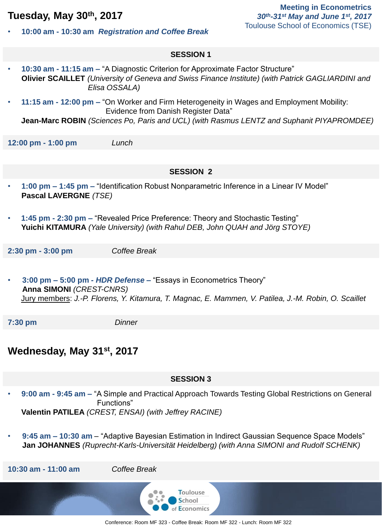#### **Tuesday, May 30th, 2017**

- **Meeting in Econometrics** *30th-31st May and June 1st, 2017* Toulouse School of Economics (TSE)
- **10:00 am - 10:30 am** *Registration and Coffee Break*

#### **SESSION 1**

- **10:30 am - 11:15 am –** "A Diagnostic Criterion for Approximate Factor Structure" **Olivier SCAILLET** *(University of Geneva and Swiss Finance Institute) (with Patrick GAGLIARDINI and Elisa OSSALA)*
- **11:15 am - 12:00 pm –** "On Worker and Firm Heterogeneity in Wages and Employment Mobility: Evidence from Danish Register Data"

**Jean-Marc ROBIN** *(Sciences Po, Paris and UCL) (with Rasmus LENTZ and Suphanit PIYAPROMDEE)*

**12:00 pm - 1:00 pm** *Lunch*

#### **SESSION 2**

- **1:00 pm – 1:45 pm –** "Identification Robust Nonparametric Inference in a Linear IV Model" **Pascal LAVERGNE** *(TSE)*
- **1:45 pm - 2:30 pm –** "Revealed Price Preference: Theory and Stochastic Testing" **Yuichi KITAMURA** *(Yale University) (with Rahul DEB, John QUAH and Jörg STOYE)*

**2:30 pm - 3:00 pm** *Coffee Break*

• **3:00 pm – 5:00 pm** *- HDR Defense –* "Essays in Econometrics Theory" **Anna SIMONI** *(CREST-CNRS)*  Jury members: *J.-P. Florens, Y. Kitamura, T. Magnac, E. Mammen, V. Patilea, J.-M. Robin, O. Scaillet*

**7:30 pm** *Dinner*

#### **Wednesday, May 31st, 2017**

#### **SESSION 3**

- **9:00 am - 9:45 am –** "A Simple and Practical Approach Towards Testing Global Restrictions on General Functions" **Valentin PATILEA** *(CREST, ENSAI) (with Jeffrey RACINE)*
- **9:45 am – 10:30 am**  "Adaptive Bayesian Estimation in Indirect Gaussian Sequence Space Models" **Jan JOHANNES** *(Ruprecht-Karls-Universität Heidelberg) (with Anna SIMONI and Rudolf SCHENK)*

**10:30 am - 11:00 am** *Coffee Break*

Toulouse School of Economics